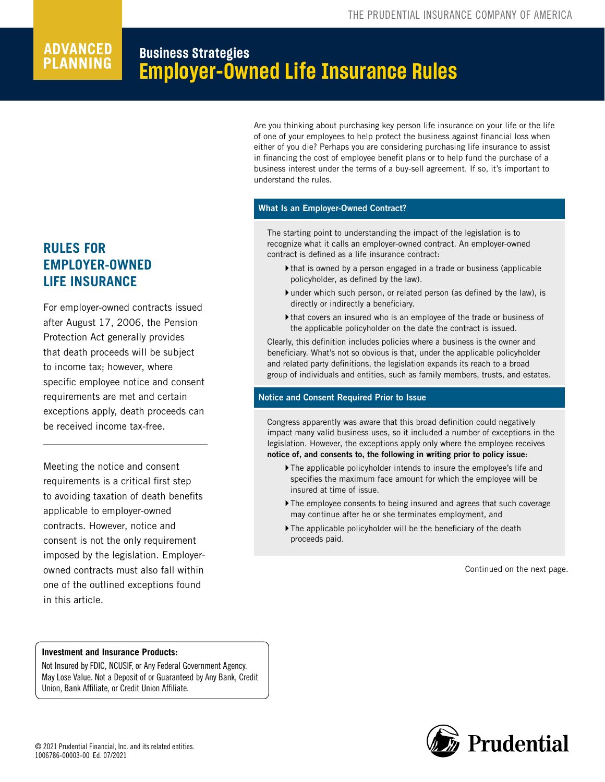# **Planning**

# **Business Strategies Employer-Owned Life Insurance Rules**

Are you thinking about purchasing key person life insurance on your life or the life of one of your employees to help protect the business against financial loss when either of you die? Perhaps you are considering purchasing life insurance to assist in financing the cost of employee benefit plans or to help fund the purchase of a business interest under the terms of a buy-sell agreement. If so, it's important to understand the rules.

## What Is an Employer-Owned Contract?

The starting point to understanding the impact of the legislation is to recognize what it calls an employer-owned contract. An employer-owned contract is defined as a life insurance contract:

- $\blacktriangleright$  that is owned by a person engaged in a trade or business (applicable policyholder, as defined by the law).
- }under which such person, or related person (as defined by the law), is directly or indirectly a beneficiary.
- }that covers an insured who is an employee of the trade or business of the applicable policyholder on the date the contract is issued.

Clearly, this definition includes policies where a business is the owner and beneficiary. What's not so obvious is that, under the applicable policyholder and related party definitions, the legislation expands its reach to a broad group of individuals and entities, such as family members, trusts, and estates.

## Notice and Consent Required Prior to Issue

Congress apparently was aware that this broad definition could negatively impact many valid business uses, so it included a number of exceptions in the legislation. However, the exceptions apply only where the employee receives notice of, and consents to, the following in writing prior to policy issue:

- }The applicable policyholder intends to insure the employee's life and specifies the maximum face amount for which the employee will be insured at time of issue.
- If the employee consents to being insured and agrees that such coverage may continue after he or she terminates employment, and
- $\blacktriangleright$  The applicable policyholder will be the beneficiary of the death proceeds paid.

Continued on the next page.

# **RULES FOR EMPLOYER-OWNED LIFE INSURANCE**

For employer-owned contracts issued after August 17, 2006, the Pension Protection Act generally provides that death proceeds will be subject to income tax; however, where specific employee notice and consent requirements are met and certain exceptions apply, death proceeds can be received income tax-free.

Meeting the notice and consent requirements is a critical first step to avoiding taxation of death benefits applicable to employer-owned contracts. However, notice and consent is not the only requirement imposed by the legislation. Employerowned contracts must also fall within one of the outlined exceptions found in this article.

# **Investment and Insurance Products:**

Not Insured by FDIC, NCUSIF, or Any Federal Government Agency. May Lose Value. Not a Deposit of or Guaranteed by Any Bank, Credit Union, Bank Affiliate, or Credit Union Affiliate.

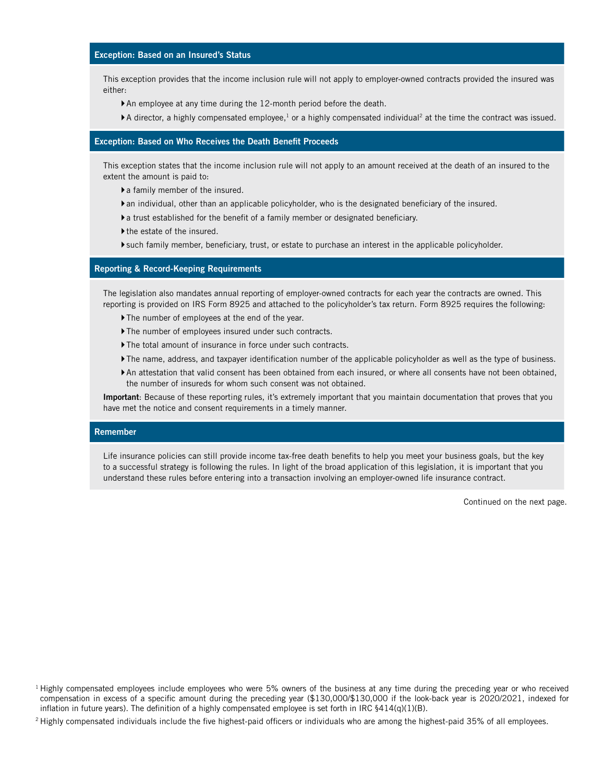#### Exception: Based on an Insured's Status

This exception provides that the income inclusion rule will not apply to employer-owned contracts provided the insured was either:

- }An employee at any time during the 12-month period before the death.
- $\blacktriangleright$  A director, a highly compensated employee,<sup>1</sup> or a highly compensated individual<sup>2</sup> at the time the contract was issued.

#### Exception: Based on Who Receives the Death Benefit Proceeds

This exception states that the income inclusion rule will not apply to an amount received at the death of an insured to the extent the amount is paid to:

 $\blacktriangleright$  a family member of the insured.

- }an individual, other than an applicable policyholder, who is the designated beneficiary of the insured.
- }a trust established for the benefit of a family member or designated beneficiary.
- If the estate of the insured.
- }such family member, beneficiary, trust, or estate to purchase an interest in the applicable policyholder.

#### Reporting & Record-Keeping Requirements

The legislation also mandates annual reporting of employer-owned contracts for each year the contracts are owned. This reporting is provided on IRS Form 8925 and attached to the policyholder's tax return. Form 8925 requires the following:

- If The number of employees at the end of the year.
- }The number of employees insured under such contracts.
- }The total amount of insurance in force under such contracts.
- }The name, address, and taxpayer identification number of the applicable policyholder as well as the type of business.
- }An attestation that valid consent has been obtained from each insured, or where all consents have not been obtained, the number of insureds for whom such consent was not obtained.

Important: Because of these reporting rules, it's extremely important that you maintain documentation that proves that you have met the notice and consent requirements in a timely manner.

#### Remember

Life insurance policies can still provide income tax-free death benefits to help you meet your business goals, but the key to a successful strategy is following the rules. In light of the broad application of this legislation, it is important that you understand these rules before entering into a transaction involving an employer-owned life insurance contract.

Continued on the next page.

 $<sup>1</sup>$  Highly compensated employees include employees who were 5% owners of the business at any time during the preceding year or who received</sup> compensation in excess of a specific amount during the preceding year (\$130,000/\$130,000 if the look-back year is 2020/2021, indexed for inflation in future years). The definition of a highly compensated employee is set forth in IRC §414(q)(1)(B).

<sup>&</sup>lt;sup>2</sup> Highly compensated individuals include the five highest-paid officers or individuals who are among the highest-paid 35% of all employees.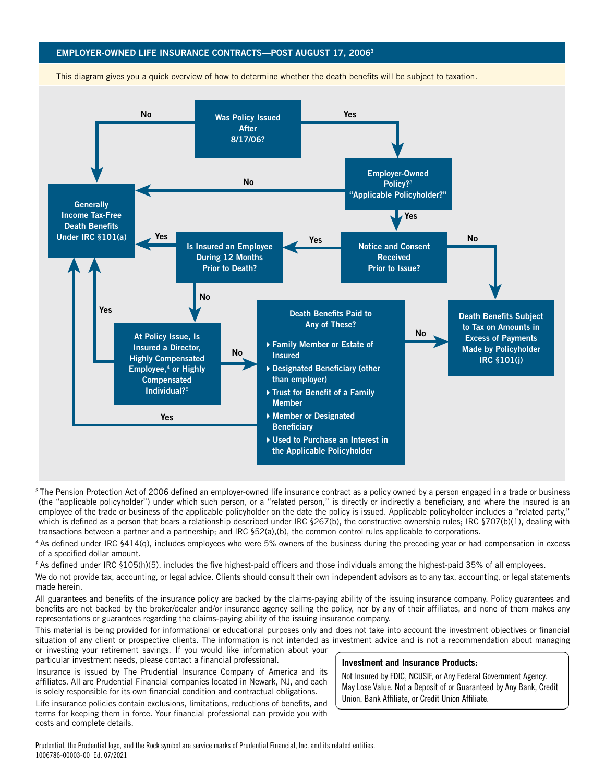## EMPLOYER-OWNED LIFE INSURANCE CONTRACTS—POST AUGUST 17, 20063



This diagram gives you a quick overview of how to determine whether the death benefits will be subject to taxation.

<sup>3</sup>The Pension Protection Act of 2006 defined an employer-owned life insurance contract as a policy owned by a person engaged in a trade or business (the "applicable policyholder") under which such person, or a "related person," is directly or indirectly a beneficiary, and where the insured is an employee of the trade or business of the applicable policyholder on the date the policy is issued. Applicable policyholder includes a "related party," which is defined as a person that bears a relationship described under IRC §267(b), the constructive ownership rules; IRC §707(b)(1), dealing with transactions between a partner and a partnership; and IRC §52(a),(b), the common control rules applicable to corporations.

<sup>4</sup> As defined under IRC §414(q), includes employees who were 5% owners of the business during the preceding year or had compensation in excess of a specified dollar amount.

<sup>5</sup> As defined under IRC §105(h)(5), includes the five highest-paid officers and those individuals among the highest-paid 35% of all employees.

We do not provide tax, accounting, or legal advice. Clients should consult their own independent advisors as to any tax, accounting, or legal statements made herein.

All guarantees and benefits of the insurance policy are backed by the claims-paying ability of the issuing insurance company. Policy guarantees and benefits are not backed by the broker/dealer and/or insurance agency selling the policy, nor by any of their affiliates, and none of them makes any representations or guarantees regarding the claims-paying ability of the issuing insurance company.

This material is being provided for informational or educational purposes only and does not take into account the investment objectives or financial situation of any client or prospective clients. The information is not intended as investment advice and is not a recommendation about managing or investing your retirement savings. If you would like information about your

particular investment needs, please contact a financial professional.

Insurance is issued by The Prudential Insurance Company of America and its affiliates. All are Prudential Financial companies located in Newark, NJ, and each is solely responsible for its own financial condition and contractual obligations.

**Investment and Insurance Products:**

Not Insured by FDIC, NCUSIF, or Any Federal Government Agency. May Lose Value. Not a Deposit of or Guaranteed by Any Bank, Credit Union, Bank Affiliate, or Credit Union Affiliate.

Life insurance policies contain exclusions, limitations, reductions of benefits, and terms for keeping them in force. Your financial professional can provide you with costs and complete details.

Prudential, the Prudential logo, and the Rock symbol are service marks of Prudential Financial, Inc. and its related entities. 1006786-00003-00 Ed. 07/2021